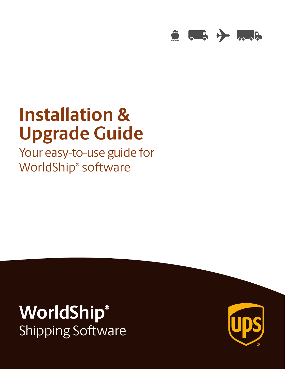

# **Installation & Upgrade Guide**

Your easy-to-use guide for WorldShip® software

# **WorldShip®** Shipping Software

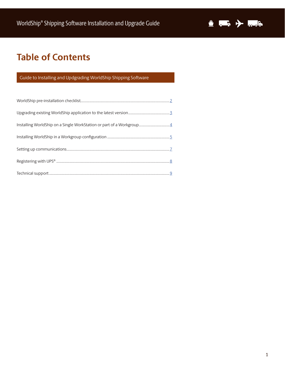

# **Table of Contents**

### Guide to Installing and Updgrading WorldShip Shipping Software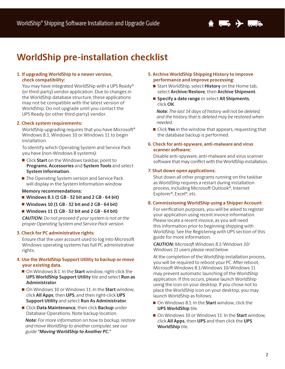

# **WorldShip pre-installation checklist**

#### **1. If upgrading WorldShip to a newer version, check compatibility:**

You may have integrated WorldShip with a UPS Ready® (or third-party) vendor application. Due to changes in the WorldShip database structure, these applications may not be compatible with the latest version of WorldShip. Do not upgrade until you contact the UPS Ready (or other third-party) vendor.

### **2. Check system requirements:**

WorldShip upgrading requires that you have Microsoft® Windows 8.1, Windows 10 or Windows 11 to begin installation.

To identify which Operating System and Service Pack you have (non-Windows 8 systems):

- Click **Start** on the Windows taskbar, point to **Programs**, **Accessories** and **System Tools** and select **System Information**.
- The Operating System version and Service Pack will display in the System Information window.

#### **Memory recommendations:**

- **Windows 8.1 (1 GB 32 bit and 2 GB 64 bit)**
- **Windows 10 (1 GB 32 bit and 2 GB 64 bit)**
- **Windows 11 (1 GB 32 bit and 2 GB 64 bit)**

*CAUTION: Do not proceed if your system is not at the proper Operating System and Service Pack version.* 

#### **3. Check for PC administrative rights:**

Ensure that the user account used to log into Microsoft Windows operating systems has full PC administrative rights.

#### **4. Use the WorldShip Support Utility to backup or move your existing data.**

- On Windows 8.1: In the **Start** window, right-click the **UPS WorldShip Support Utility** tile and select **Run as Administrator**.
- On Windows 10 or Windows 11: In the **Start** window, click **All Apps**, then **UPS**, and then right-click **UPS Support Utility** and select **Run As Administrator**.
- Click **Data Maintenance**, then click **Backup** under Database Operations. Note backup location.

*Note: For more information on how to backup, restore and move WorldShip to another computer, see our guide "Moving WorldShip to Another PC."*

- **5. Archive WorldShip Shipping History to improve performance and improve processing:** 
	- Start WorldShip, select **History** on the Home tab, select **Archive/Restore**, then **Archive Shipment**.
	- **Specify a date range** or select **All Shipments**, click **OK**.

*Note: The last 14 days of history will not be deleted, and the history that is deleted may be restored when needed.*

**E** Click **Yes** in the window that appears, requesting that the database backup is performed.

#### **6. Check for anti-spyware, anti-malware and virus scanner software:**

Disable anti-spyware, anti-malware and virus scanner software that may conflict with the WorldShip installation.

#### **7. Shut down open applications:**

Shut down all other programs running on the taskbar as WorldShip requires a restart during installation process, including Microsoft Outlook®, Internet Explorer®, Excel®, etc.

#### **8. Commissioning WorldShip using a Shipper Account:**

For verification purposes, you will be asked to register your application using recent invoice information. Please locate a recent invoice, as you will need this information prior to beginning shipping with WorldShip. See the Registering with UPS section of this guide for more information.

*CAUTION: Microsoft Windows 8.1/Windows 10/ Windows 11 users please read below.*

At the completion of the WorldShip installation process, you will be required to reboot your PC. After reboot, Microsoft Windows 8.1/Windows 10/Windows 11 may prevent automatic launching of the WorldShip application. If this occurs, please launch WorldShip using the icon on your desktop. If you chose not to place the WorldShip icon on your desktop, you may launch WorldShip as follows:

- On Windows 8.1: In the **Start** window, click the **UPS WorldShip** tile.
- On Windows 10 or Windows 11: In the **Start** window, click **All Apps**, then **UPS** and then click the **UPS WorldShip** tile.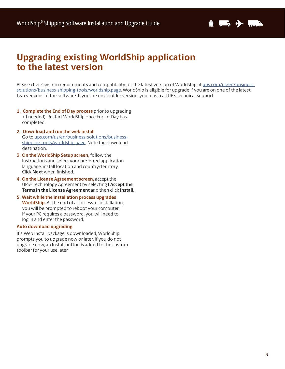

## **Upgrading existing WorldShip application to the latest version**

Please check system requirements and compatibility for the latest version of WorldShip at ups.com/us/en/businesssolutions/business-shipping-tools/worldship.page. WorldShip is eligible for upgrade if you are on one of the latest two versions of the software. If you are on an older version, you must call UPS Technical Support.

- **1. Complete the End of Day process** prior to upgrading (if needed). Restart WorldShip once End of Day has completed.
- **2. Download and run the web install**  Go to ups.com/us/en/business-solutions/businessshipping-tools/worldship.page. Note the download destination.
- **3. On the WorldShip Setup screen,** follow the instructions and select your preferred application language, install location and country/territory. Click **Next** when finished.
- **4. On the License Agreement screen,** accept the UPS® Technology Agreement by selecting **I Accept the Terms in the License Agreement** and then click **Install**.
- **5. Wait while the installation process upgrades WorldShip.** At the end of a successful installation, you will be prompted to reboot your computer. If your PC requires a password, you will need to log in and enter the password.

#### **Auto download upgrading**

If a Web Install package is downloaded, WorldShip prompts you to upgrade now or later. If you do not upgrade now, an Install button is added to the custom toolbar for your use later.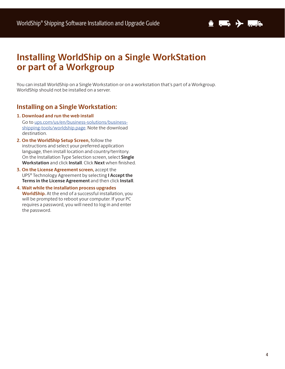

# **Installing WorldShip on a Single WorkStation or part of a Workgroup**

You can install WorldShip on a Single Workstation or on a workstation that's part of a Workgroup. WorldShip should not be installed on a server.

### **Installing on a Single Workstation:**

- **1. Download and run the web install**  Go to ups.com/us/en/business-solutions/businessshipping-tools/worldship.page. Note the download destination.
- **2. On the WorldShip Setup Screen,** follow the instructions and select your preferred application language, then install location and country/territory. On the Installation Type Selection screen, select **Single Workstation** and click **Install**. Click **Next** when finished.
- **3. On the License Agreement screen,** accept the UPS® Technology Agreement by selecting **I Accept the Terms in the License Agreement** and then click **Install**.
- **4. Wait while the installation process upgrades WorldShip.** At the end of a successful installation, you will be prompted to reboot your computer. If your PC requires a password, you will need to log in and enter the password.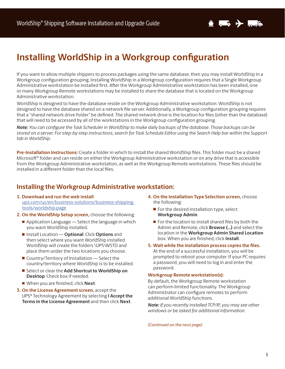

# **Installing WorldShip in a Workgroup configuration**

If you want to allow multiple shippers to process packages using the same database, then you may install WorldShip in a Workgroup configuration grouping. Installing WorldShip in a Workgroup configuration requires that a Single Workgroup Administrative workstation be installed first. After the Workgroup Administrative workstation has been installed, one or many Workgroup Remote workstations may be installed to share the database that is located on the Workgroup Administrative workstation.

WorldShip is designed to have the database reside on the Workgroup Administrative workstation. WorldShip is not designed to have the database shared on a network file server. Additionally, a Workgroup configuration grouping requires that a "shared network drive folder" be defined. The shared network drive is the location for files (other than the database) that will need to be accessed by all of the workstations in the Workgroup configuration grouping.

*Note: You can configure the Task Scheduler in WorldShip to make daily backups of the database. Those backups can be stored on a server. For step-by-step instructions, search for Task Schedule Editor using the Search Help bar within the Support tab in WorldShip.* 

**Pre-Installation Instructions:** Create a folder in which to install the shared WorldShip files. This folder must be a shared Microsoft® folder and can reside on either the Workgroup Administrative workstation or on any drive that is accessible from the Workgroup Administrative workstation, as well as the Workgroup Remote workstations. These files should be installed in a different folder than the local files.

### **Installing the Workgroup Administrative workstation:**

- **1. Download and run the web install**  ups.com/us/en/business-solutions/business-shippingtools/worldship.page
- **2. On the WorldShip Setup screen,** choose the following:
	- Application Language Select the language in which you want WorldShip installed.
	- Install Location **Optional**: Click **Options** and then select where you want WorldShip installed. WorldShip will create the folders \UPS\WSTD and place them under the two locations you choose.
	- Country/Territory of Installation Select the country/territory where WorldShip is to be installed.
	- Select or clear the **Add Shortcut to WorldShip on Desktop**. Check box if needed.
	- When you are finished, click **Next**.
- **3. On the License Agreement screen,** accept the UPS® Technology Agreement by selecting **I Accept the Terms in the License Agreement** and then click **Next**.
- **4. On the Installation Type Selection screen,** choose the following:
	- $\blacksquare$  For the desired installation type, select **Workgroup Admin**.
	- $\blacksquare$  For the location to install shared files by both the Admin and Remote, click **Browse (…)** and select the location in the **Workgroup Admin Shared Location** box. When you are finished, click **Install**.
- **5. Wait while the installation process copies the files.**  At the end of a successful installation, you will be prompted to reboot your computer. If your PC requires a password, you will need to log in and enter the password.

### **Workgroup Remote workstation(s):**

By default, the Workgroup Remote workstation can perform limited functionality. The Workgroup Administrator can configure remotes to perform additional WorldShip functions.

*Note: If you recently installed TCP/IP, you may see other windows or be asked for additional information.*

*(Continued on the next page)*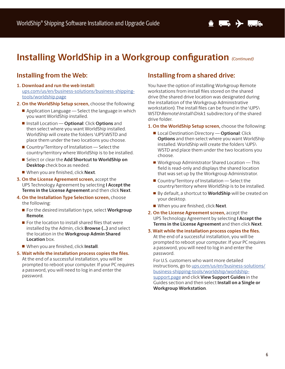# **Installing WorldShip in a Workgroup configuration (Continued)**

### **Installing from the Web:**

- **1. Download and run the web install:** ups.com/us/en/business-solutions/business-shippingtools/worldship.page
- **2. On the WorldShip Setup screen,** choose the following:
	- Application Language Select the language in which you want WorldShip installed.
	- Install Location **Optional**: Click **Options** and then select where you want WorldShip installed. WorldShip will create the folders \UPS\WSTD and place them under the two locations you choose.
	- $\blacksquare$  Country/Territory of Installation  $\blacksquare$  Select the country/territory where WorldShip is to be installed.
	- Select or clear the **Add Shortcut to WorldShip on Desktop** check box as needed.
	- When you are finished, click **Next**.
- **3. On the License Agreement screen,** accept the UPS Technology Agreement by selecting **I Accept the Terms in the License Agreement** and then click **Next**.
- **4. On the Installation Type Selection screen,** choose the following:
	- For the desired installation type, select **Workgroup Remote**.
	- $\blacksquare$  For the location to install shared files that were installed by the Admin, click **Browse (…)** and select the location in the **Workgroup Admin Shared Location** box.
	- When you are finished, click **Install**.
- **5. Wait while the installation process copies the files.** At the end of a successful installation, you will be prompted to reboot your computer. If your PC requires a password, you will need to log in and enter the password.

### **Installing from a shared drive:**

You have the option of installing Workgroup Remote workstations from install files stored on the shared drive (the shared drive location was designated during the installation of the Workgroup Administrative workstation). The install files can be found in the \UPS\ WSTD\Remote\Install\Disk1 subdirectory of the shared drive folder.

**1. On the WorldShip Setup screen,** choose the following:

- Local Destination Directory  **Optional**: Click **Options** and then select where you want WorldShip installed. WorldShip will create the folders \UPS\ WSTD and place them under the two locations you choose.
- Workgroup Administrator Shared Location This field is read-only and displays the shared location that was set up by the Workgroup Administrator.
- $\blacksquare$  Country/Territory of Installation  $\blacksquare$  Select the country/territory where WorldShip is to be installed.
- By default, a shortcut to **WorldShip** will be created on your desktop.
- When you are finished, click **Next**.
- **2. On the License Agreement screen,** accept the UPS Technology Agreement by selecting **I Accept the Terms in the License Agreement** and then click **Next**.

#### **3. Wait while the installation process copies the files.**

At the end of a successful installation, you will be prompted to reboot your computer. If your PC requires a password, you will need to log in and enter the password.

For U.S. customers who want more detailed instructions, go to ups.com/us/en/business-solutions/ business-shipping-tools/worldship/worldshipsupport.page and click **View Support Guides** in the Guides section and then select **Install on a Single or Workgroup Workstation**.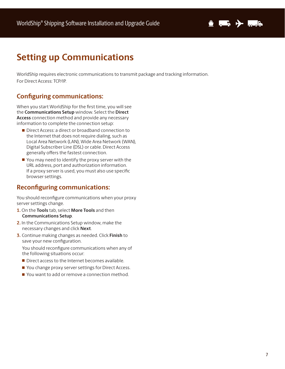

# **Setting up Communications**

WorldShip requires electronic communications to transmit package and tracking information. For Direct Access: TCP/IP.

### **Configuring communications:**

When you start WorldShip for the first time, you will see the **Communications Setup** window. Select the **Direct Access** connection method and provide any necessary information to complete the connection setup:

- Direct Access: a direct or broadband connection to the Internet that does not require dialing, such as Local Area Network (LAN), Wide Area Network (WAN), Digital Subscriber Line (DSL) or cable. Direct Access generally offers the fastest connection.
- You may need to identify the proxy server with the URL address, port and authorization information. If a proxy server is used, you must also use specific browser settings.

### **Reconfiguring communications:**

You should reconfigure communications when your proxy server settings change.

- **1.** On the **Tools** tab, select **More Tools** and then **Communications Setup**.
- **2.** In the Communications Setup window, make the necessary changes and click **Next**.
- **3.** Continue making changes as needed. Click **Finish** to save your new configuration.

You should reconfigure communications when any of the following situations occur:

- Direct access to the Internet becomes available.
- You change proxy server settings for Direct Access.
- You want to add or remove a connection method.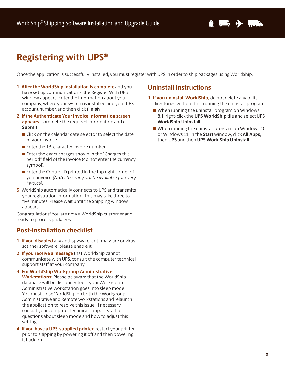# **Registering with UPS®**

Once the application is successfully installed, you must register with UPS in order to ship packages using WorldShip.

- **1. After the WorldShip installation is complete** and you have set up communications, the Register With UPS window appears. Enter the information about your company, where your system is installed and your UPS account number, and then click **Finish**.
- **2. If the Authenticate Your Invoice Information screen appears,** complete the required information and click **Submit**.
	- Click on the calendar date selector to select the date of your invoice.
	- Enter the 13-character Invoice number.
	- Enter the exact charges shown in the "Charges this period" field of the invoice (do not enter the currency symbol).
	- $\blacksquare$  Enter the Control ID printed in the top right corner of your invoice *(Note: this may not be available for every invoice).*
- **3.** WorldShip automatically connects to UPS and transmits your registration information. This may take three to five minutes. Please wait until the Shipping window appears.

Congratulations! You are now a WorldShip customer and ready to process packages.

### **Post-installation checklist**

- **1. If you disabled** any anti-spyware, anti-malware or virus scanner software, please enable it.
- **2. If you receive a message** that WorldShip cannot communicate with UPS, consult the computer technical support staff at your company.
- **3. For WorldShip Workgroup Administrative Workstations:** Please be aware that the WorldShip database will be disconnected if your Workgroup Administrative workstation goes into sleep mode. You must close WorldShip on both the Workgroup Administrative and Remote workstations and relaunch the application to resolve this issue. If necessary, consult your computer technical support staff for questions about sleep mode and how to adjust this setting.
- **4. If you have a UPS-supplied printer,** restart your printer prior to shipping by powering it off and then powering it back on.

### **Uninstall instructions**

- **1. If you uninstall WorldShip,** do not delete any of its directories without first running the uninstall program.
	- When running the uninstall program on Windows 8.1, right-click the **UPS WorldShip** tile and select UPS **WorldShip Uninstall**.
	- When running the uninstall program on Windows 10 or Windows 11, in the **Start** window, click **All Apps**, then **UPS** and then **UPS WorldShip Uninstall**.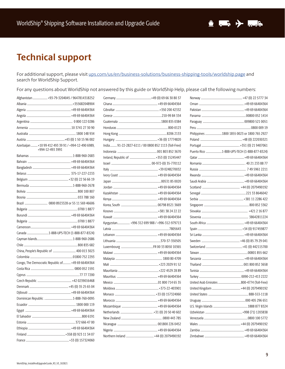# **Technical support**

For additional support, please visit ups.com/us/en/business-solutions/business-shipping-tools/worldship.page and search for WorldShip Support.

For any questions about WorldShip not answered by this guide or WorldShip Help, please call the following numbers:

| Afghanistan  +93-79-3204045 / 9647814318252                              |
|--------------------------------------------------------------------------|
|                                                                          |
|                                                                          |
|                                                                          |
|                                                                          |
|                                                                          |
|                                                                          |
|                                                                          |
| Azerbaijan  +10 99 412 493 39 91 / +994-12-490 6989,<br>+994-12-493 3991 |
|                                                                          |
|                                                                          |
|                                                                          |
|                                                                          |
|                                                                          |
|                                                                          |
|                                                                          |
|                                                                          |
|                                                                          |
|                                                                          |
|                                                                          |
|                                                                          |
|                                                                          |
|                                                                          |
|                                                                          |
|                                                                          |
|                                                                          |
|                                                                          |
| Congo, The Democratic Republic of +49 69 66404364                        |
|                                                                          |
|                                                                          |
|                                                                          |
|                                                                          |
|                                                                          |
|                                                                          |
|                                                                          |
|                                                                          |
|                                                                          |
|                                                                          |
|                                                                          |
|                                                                          |
|                                                                          |

| India 91-22-2827-6111 / 00 0800 852 1113 (Toll-Free) |  |
|------------------------------------------------------|--|
|                                                      |  |
|                                                      |  |
|                                                      |  |
|                                                      |  |
|                                                      |  |
|                                                      |  |
|                                                      |  |
|                                                      |  |
|                                                      |  |
|                                                      |  |
|                                                      |  |
|                                                      |  |
| Kyrgyzstan +996 312 699 988 / +996-312-979713        |  |
|                                                      |  |
|                                                      |  |
|                                                      |  |
|                                                      |  |
|                                                      |  |
|                                                      |  |
|                                                      |  |
|                                                      |  |
|                                                      |  |
|                                                      |  |
|                                                      |  |
|                                                      |  |
|                                                      |  |
|                                                      |  |
|                                                      |  |
|                                                      |  |
|                                                      |  |
|                                                      |  |
|                                                      |  |

| Puerto Rico 1-888-UPS-TECH (1-888-877-8324) |
|---------------------------------------------|
|                                             |
|                                             |
|                                             |
|                                             |
|                                             |
|                                             |
|                                             |
|                                             |
|                                             |
|                                             |
|                                             |
|                                             |
|                                             |
|                                             |
|                                             |
|                                             |
|                                             |
|                                             |
|                                             |
|                                             |
|                                             |
|                                             |
|                                             |
|                                             |
|                                             |
|                                             |
|                                             |
|                                             |
|                                             |
|                                             |
|                                             |
|                                             |